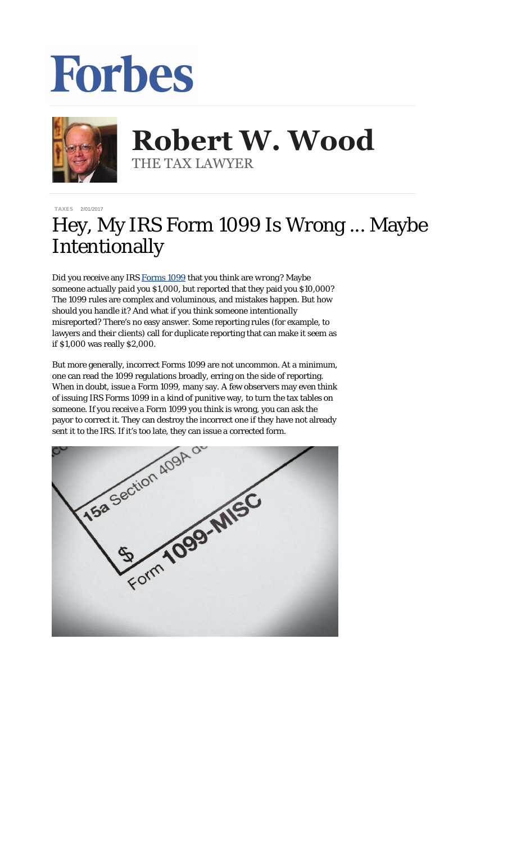## Forbes



## **Robert W. Wood Robert W. Wood** THE TAX LAWYER THE TAX LAWYER

[TAXES](http://www.forbes.com/taxes) 2/01/2017

## Hey, My IRS Form 1099 Is Wrong ... Maybe Intentionally

Did you receive any IRS [Forms 1099](https://www.irs.gov/uac/about-form-1099misc) that you think are *wrong*? Maybe someone actually *paid* you \$1,000, but *reported* that they paid you \$10,000? The 1099 rules are complex and voluminous, and mistakes happen. But how should you handle it? And what if you think someone *intentionally* misreported? There's no easy answer. Some reporting rules (for example, to lawyers and their clients) call for duplicate reporting that can make it seem as if \$1,000 was really \$2,000.

But more generally, incorrect Forms 1099 are not uncommon. At a minimum, one can read the 1099 regulations broadly, erring on the side of reporting. When in doubt, issue a Form 1099, many say. A few observers may even think of issuing IRS Forms 1099 in a kind of punitive way, to turn the tax tables on someone. If you receive a Form 1099 you think is wrong, you can ask the payor to correct it. They can destroy the incorrect one if they have not already

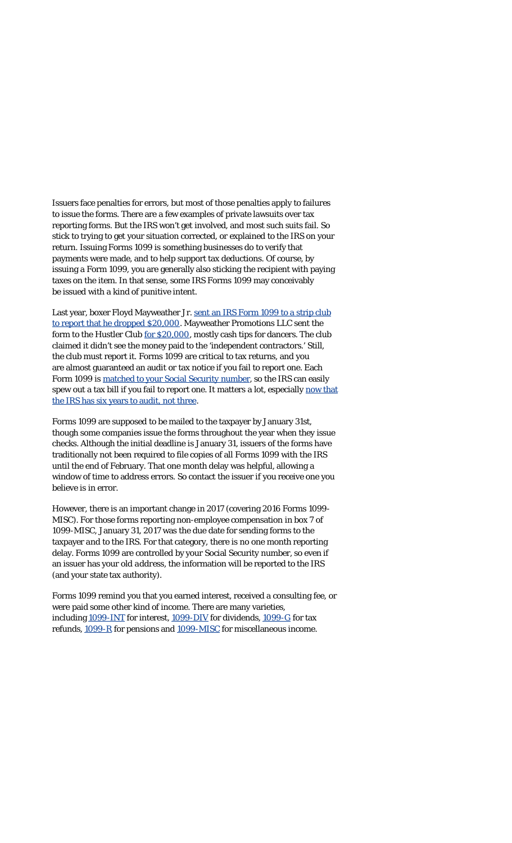Issuers face penalties for errors, but most of those penalties apply to failures to issue the forms. There are a few examples of private lawsuits over tax reporting forms. But the IRS won't get involved, and most such suits fail. So stick to trying to get your situation corrected, or explained to the IRS on your return. Issuing Forms 1099 is something businesses do to verify that payments were made, and to help support tax deductions. Of course, by issuing a Form 1099, you are generally also sticking the recipient with paying taxes on the item. In that sense, some IRS Forms 1099 may conceivably be issued with a kind of punitive intent.

Last year, boxer Floyd Mayweather Jr. [sent an IRS Form 1099 to a strip club](http://taxprof.typepad.com/taxprof_blog/2016/06/floyd-mayweather-sends-form-1099-to-strip-club-after-making-it-rain-20000.html) [to report that he dropped \\$20,000.](http://taxprof.typepad.com/taxprof_blog/2016/06/floyd-mayweather-sends-form-1099-to-strip-club-after-making-it-rain-20000.html) Mayweather Promotions LLC sent the form to the Hustler Club [for \\$20,000](http://www.dailymail.co.uk/news/article-3656734/Floyd-Mayweather-slaps-Las-Vegas-strip-club-tax-bill-spending-20-000-making-rain-nearly-naked-strippers-leaving-without-tipping-waitress.html), mostly cash tips for dancers. The club claimed it didn't see the money paid to the 'independent contractors.' Still, the club must report it. Forms 1099 are critical to tax returns, and you are almost guaranteed an audit or tax notice if you fail to report one. Each Form 1099 is matched to your [Social Security number,](http://www.forbes.com/sites/robertwood/2016/02/02/got-forms-1099-irs-matches-them-to-your-taxes/#173cf6357fb5) so the IRS can easily spew out a tax bill if you fail to report one. It matters a lot, especially [now that](http://www.forbes.com/sites/robertwood/2016/01/15/beware-irs-now-has-six-years-to-audit-your-taxes-up-from-three/#363d45224216) [the IRS has six years to audit, not three](http://www.forbes.com/sites/robertwood/2016/01/15/beware-irs-now-has-six-years-to-audit-your-taxes-up-from-three/#363d45224216).

Forms 1099 are supposed to be mailed to the taxpayer by January 31st, though some companies issue the forms throughout the year when they issue checks. Although the initial deadline is January 31, issuers of the forms have traditionally not been required to file copies of all Forms 1099 with the IRS until the end of February. That one month delay was helpful, allowing a window of time to address errors. So contact the issuer if you receive one you believe is in error.

However, there is an important change in 2017 (covering 2016 Forms 1099- MISC). For those forms reporting non-employee compensation in box 7 of 1099-MISC, January 31, 2017 was the due date for sending forms to the taxpayer *and* to the IRS. For that category, there is no one month reporting delay. Forms 1099 are controlled by your Social Security number, so even if an issuer has your *old address*, the information will be reported to the IRS (and your state tax authority).

Forms 1099 remind you that you earned interest, received a consulting fee, or were paid some other kind of income. There are many varieties, including [1099-INT](https://www.irs.gov/uac/form-1099-int-interest-income) for interest, [1099-DIV](https://www.irs.gov/uac/form-1099-div-dividends-and-distributions) for dividends, [1099-G](https://www.irs.gov/uac/about-form-1099g) for tax refunds, [1099-R](https://www.irs.gov/uac/about-form-1099r) for pensions and [1099-MISC](https://www.irs.gov/uac/about-form-1099misc) for miscellaneous income.